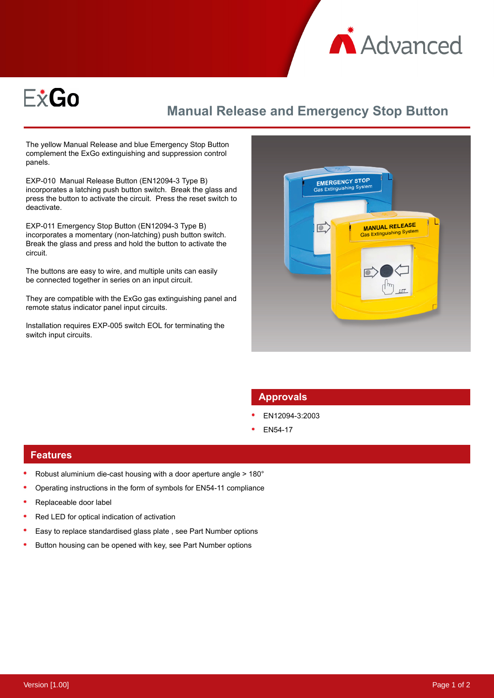



## **Manual Release and Emergency Stop Button**

The yellow Manual Release and blue Emergency Stop Button complement the ExGo extinguishing and suppression control panels.

EXP-010 Manual Release Button (EN12094-3 Type B) incorporates a latching push button switch. Break the glass and press the button to activate the circuit. Press the reset switch to deactivate.

EXP-011 Emergency Stop Button (EN12094-3 Type B) incorporates a momentary (non-latching) push button switch. Break the glass and press and hold the button to activate the circuit.

The buttons are easy to wire, and multiple units can easily be connected together in series on an input circuit.

They are compatible with the ExGo gas extinguishing panel and remote status indicator panel input circuits.

Installation requires EXP-005 switch EOL for terminating the switch input circuits.



## **Approvals**

- EN12094-3:2003
- EN54-17

## **Features**

- Robust aluminium die-cast housing with a door aperture angle > 180°
- Operating instructions in the form of symbols for EN54-11 compliance
- Replaceable door label
- $\epsilon$ Red LED for optical indication of activation
- Easy to replace standardised glass plate , see Part Number options
- Button housing can be opened with key, see Part Number options